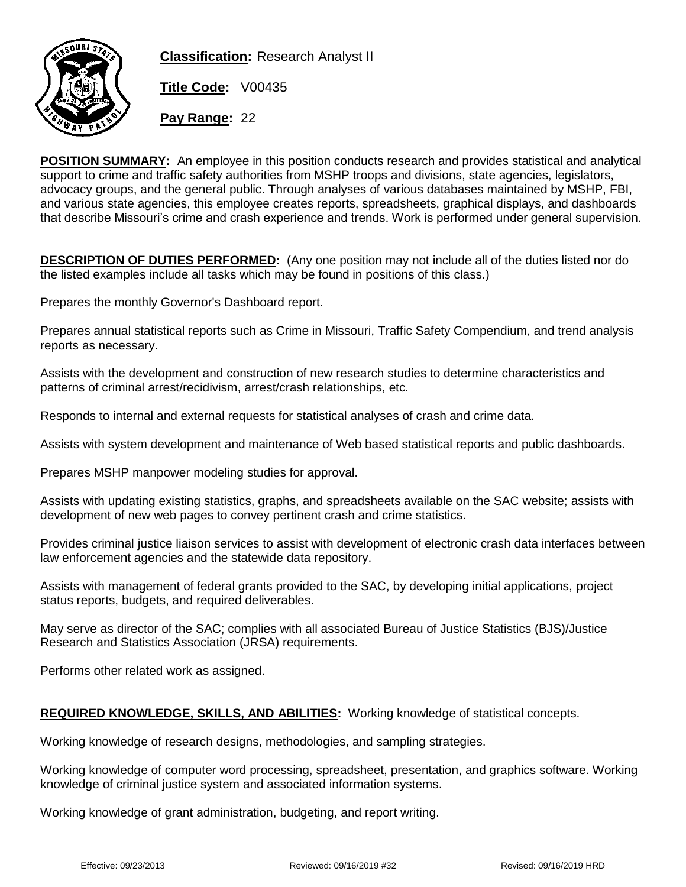

**Classification:** Research Analyst II

**Title Code:** V00435

**Pay Range:** 22

**POSITION SUMMARY:** An employee in this position conducts research and provides statistical and analytical support to crime and traffic safety authorities from MSHP troops and divisions, state agencies, legislators, advocacy groups, and the general public. Through analyses of various databases maintained by MSHP, FBI, and various state agencies, this employee creates reports, spreadsheets, graphical displays, and dashboards that describe Missouri's crime and crash experience and trends. Work is performed under general supervision.

**DESCRIPTION OF DUTIES PERFORMED:** (Any one position may not include all of the duties listed nor do the listed examples include all tasks which may be found in positions of this class.)

Prepares the monthly Governor's Dashboard report.

Prepares annual statistical reports such as Crime in Missouri, Traffic Safety Compendium, and trend analysis reports as necessary.

Assists with the development and construction of new research studies to determine characteristics and patterns of criminal arrest/recidivism, arrest/crash relationships, etc.

Responds to internal and external requests for statistical analyses of crash and crime data.

Assists with system development and maintenance of Web based statistical reports and public dashboards.

Prepares MSHP manpower modeling studies for approval.

Assists with updating existing statistics, graphs, and spreadsheets available on the SAC website; assists with development of new web pages to convey pertinent crash and crime statistics.

Provides criminal justice liaison services to assist with development of electronic crash data interfaces between law enforcement agencies and the statewide data repository.

Assists with management of federal grants provided to the SAC, by developing initial applications, project status reports, budgets, and required deliverables.

May serve as director of the SAC; complies with all associated Bureau of Justice Statistics (BJS)/Justice Research and Statistics Association (JRSA) requirements.

Performs other related work as assigned.

## **REQUIRED KNOWLEDGE, SKILLS, AND ABILITIES:** Working knowledge of statistical concepts.

Working knowledge of research designs, methodologies, and sampling strategies.

Working knowledge of computer word processing, spreadsheet, presentation, and graphics software. Working knowledge of criminal justice system and associated information systems.

Working knowledge of grant administration, budgeting, and report writing.